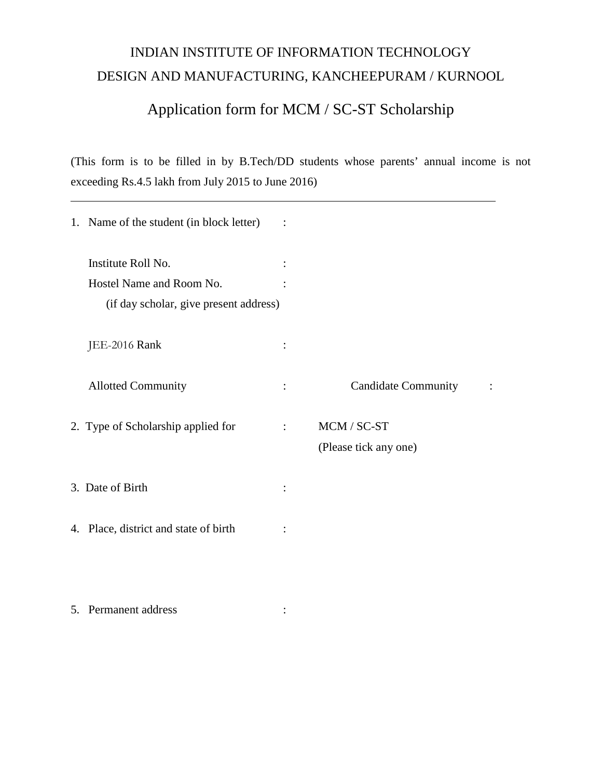## INDIAN INSTITUTE OF INFORMATION TECHNOLOGY DESIGN AND MANUFACTURING, KANCHEEPURAM / KURNOOL

## Application form for MCM / SC-ST Scholarship

(This form is to be filled in by B.Tech/DD students whose parents' annual income is not exceeding Rs.4.5 lakh from July 2015 to June 2016)

| 1. Name of the student (in block letter) |                |                            |  |
|------------------------------------------|----------------|----------------------------|--|
| Institute Roll No.                       |                |                            |  |
| Hostel Name and Room No.                 |                |                            |  |
| (if day scholar, give present address)   |                |                            |  |
| JEE-2016 Rank                            |                |                            |  |
| <b>Allotted Community</b>                | $\ddot{\cdot}$ | <b>Candidate Community</b> |  |
| 2. Type of Scholarship applied for       | $\ddot{\cdot}$ | MCM / SC-ST                |  |
|                                          |                | (Please tick any one)      |  |
| 3. Date of Birth                         |                |                            |  |
| 4. Place, district and state of birth    |                |                            |  |
|                                          |                |                            |  |
| 5. Permanent address                     |                |                            |  |